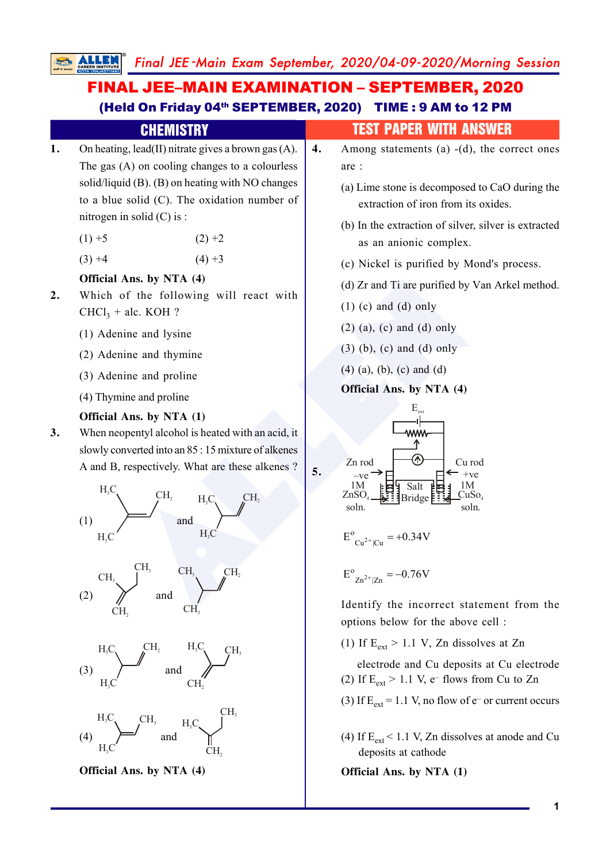# FINAL JEE–MAIN EXAMINATION – SEPTEMBER, 2020 (Held On Friday 04<sup>th</sup> SEPTEMBER, 2020) TIME : 9 AM to 12 PM

**ALLENDER SOLUTER SET AND CHANNET CHUREND CHUREND CHUREND CHUREND CHUREND CHUREND CHUREND CHUREND CHUREND CHUREND CHUREND CHUREND CHUREND CHUREND CHUREND CHUREND CHUREND CHUREND CHUREND CHUREND CHUREND CHUREND CHUREND CHU 1.** On heating, lead(II) nitrate gives a brown gas (A). The gas (A) on cooling changes to a colourless solid/liquid (B). (B) on heating with NO changes to a blue solid (C). The oxidation number of nitrogen in solid (C) is :  $(1) +5$   $(2) +2$  $(3) +4$   $(4) +3$ **Official Ans. by NTA (4) 2.** Which of the following will react with  $CHCl<sub>3</sub> + \text{alc. KOH}$ ? (1) Adenine and lysine (2) Adenine and thymine (3) Adenine and proline (4) Thymine and proline **Official Ans. by NTA (1) 3.** When neopentyl alcohol is heated with an acid, it slowly converted into an 85 : 15 mixture of alkenes A and B, respectively. What are these alkenes ? (1)  $H<sub>2</sub>C$ CH.  $H<sub>3</sub>C$  and  $H<sub>3</sub>C$  $H_3C_1$   $CH_2$  $H<sub>0</sub>$ (2) CH 3 CH 2 CH 3 and  $CH<sub>3</sub>$   $CH<sub>2</sub>$ CH<sub>3</sub> **CHEMISTRY TEST PAPER WITH ANSWER 4.** Among statements (a) -(d), the correct ones are : (a) Lime stone is decomposed to CaO during the extraction of iron from its oxides. (b) In the extraction of silver, silver is extracted as an anionic complex. (c) Nickel is purified by Mond's process. (d) Zr and Ti are purified by Van Arkel method.  $(1)$  (c) and (d) only (2) (a), (c) and (d) only (3) (b), (c) and (d) only (4) (a), (b), (c) and (d) **Official Ans. by NTA (4) 5.** Zn rod  $-V<sub>e</sub>$ 1M ZnSO soln. 4 Cu rod  $+ve$ 1M CuSo 4 soln.  $E_{\text{ev}}$ Salt **Bridge**  $E^{o}$ <sub>Cu<sup>2+</sup>|Cu</sub> = +0.34V  $E^{o}_{Zn^{2+}|Zn} = -0.76V$ Identify the incorrect statement from the

options below for the above cell :

(1) If  $E_{ext} > 1.1$  V, Zn dissolves at Zn

 electrode and Cu deposits at Cu electrode (2) If  $E_{ext} > 1.1$  V, e-flows from Cu to Zn

- (3) If  $E_{ext} = 1.1$  V, no flow of e- or current occurs
- (4) If  $E_{ext}$  < 1.1 V, Zn dissolves at anode and Cu deposits at cathode

**Official Ans. by NTA (1)**

**Official Ans. by NTA (4)**

(3)

(4)

 $H<sub>0</sub>$ 

 $H<sub>3</sub>C$ 

 $H_3C_1$  CH

 $H_3C_$  CH

CH.

3

and

and

 $H<sub>2</sub>$ 

CH 2

 $H<sub>s</sub>C$ 

CH.

CH 3

 $CH$ 2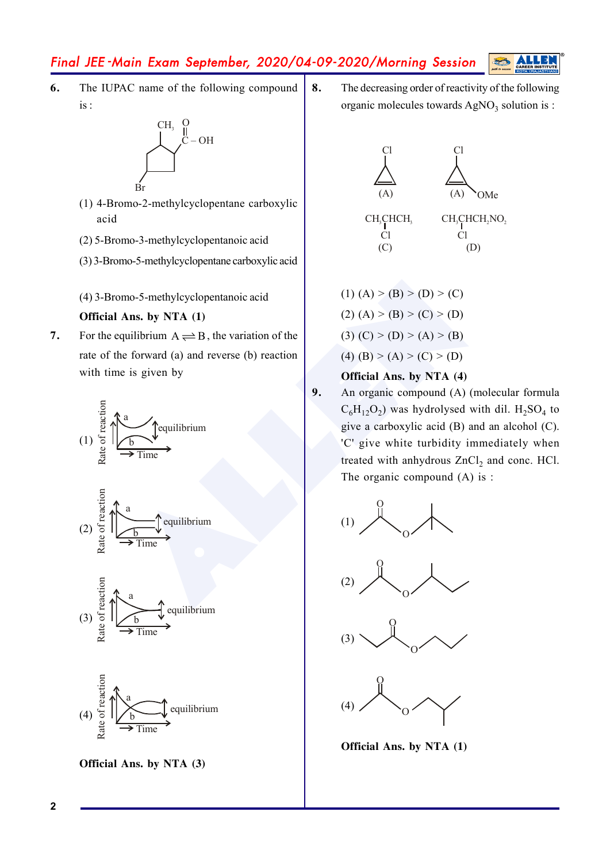**6.** The IUPAC name of the following compound is :



- (1) 4-Bromo-2-methylcyclopentane carboxylic acid
- (2) 5-Bromo-3-methylcyclopentanoic acid
- (3) 3-Bromo-5-methylcyclopentane carboxylic acid
- (4) 3-Bromo-5-methylcyclopentanoic acid

## **Official Ans. by NTA (1)**

**7.** For the equilibrium  $A \rightleftharpoons B$ , the variation of the rate of the forward (a) and reverse (b) reaction with time is given by









**Official Ans. by NTA (3)**

**8.** The decreasing order of reactivity of the following organic molecules towards AgNO<sub>3</sub> solution is :



(1)  $(A)$  >  $(B)$  >  $(D)$  >  $(C)$ (2)  $(A)$  > (B) > (C) > (D) (3)  $(C)$  >  $(D)$  >  $(A)$  >  $(B)$ (4) (B) > (A) > (C) > (D)

## **Official Ans. by NTA (4)**

no-5-methylcyclopentanoic acid<br>
(1) (A) > (B) > (D) > (C)<br>
(2) (A) > (B) > (C) > (D)<br>
(2) (A) > (B) > (C) + (D)<br>
(3) (C) > (D) > (A) > (B)<br>
(4) (B) > (A) > (C) > (D)<br>
(4) (B) > (A) > (C) + (D)<br>
(4) (B) > (A) + (C)<br>
(4) (B **9.** An organic compound (A) (molecular formula  $C_6H_{12}O_2$ ) was hydrolysed with dil.  $H_2SO_4$  to give a carboxylic acid (B) and an alcohol (C). 'C' give white turbidity immediately when treated with anhydrous ZnCl 2 and conc. HCl. The organic compound (A) is :









**Official Ans. by NTA (1)**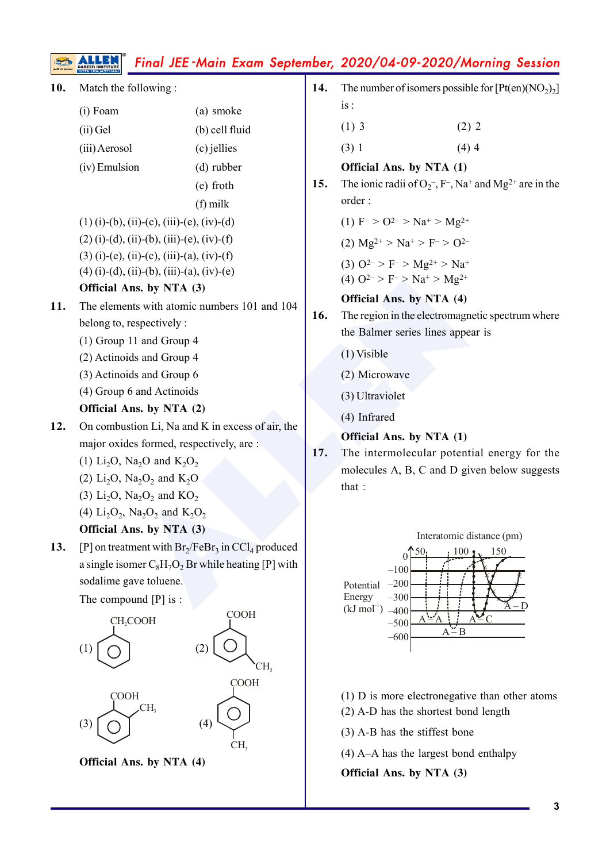| 10. | Match the following:                                                                                                                                                                         |                | 14. | The number of isomers possible for $[Pt(en)(NO2)2]$                            |
|-----|----------------------------------------------------------------------------------------------------------------------------------------------------------------------------------------------|----------------|-----|--------------------------------------------------------------------------------|
|     | (i) Foam                                                                                                                                                                                     | (a) smoke      |     | is:                                                                            |
|     | (ii) Gel                                                                                                                                                                                     | (b) cell fluid |     | $(1)$ 3<br>(2) 2                                                               |
|     | (iii) Aerosol                                                                                                                                                                                | (c) jellies    |     | (3) 1<br>$(4)$ 4                                                               |
|     | (iv) Emulsion                                                                                                                                                                                | $(d)$ rubber   |     | Official Ans. by NTA (1)                                                       |
|     |                                                                                                                                                                                              | (e) froth      | 15. | The ionic radii of $O_2$ , F-, Na <sup>+</sup> and Mg <sup>2+</sup> are in the |
|     |                                                                                                                                                                                              | $(f)$ milk     |     | order:                                                                         |
|     | $(1)$ (i)-(b), (ii)-(c), (iii)-(e), (iv)-(d)<br>$(2)$ (i)-(d), (ii)-(b), (iii)-(e), (iv)-(f)<br>$(3)$ (i)-(e), (ii)-(c), (iii)-(a), (iv)-(f)<br>$(4)$ (i)-(d), (ii)-(b), (iii)-(a), (iv)-(e) |                |     | (1) $F > O^{2-} > Na^{+} > Mg^{2+}$                                            |
|     |                                                                                                                                                                                              |                |     | (2) $Mg^{2+} > Na^{+} > F^{-} > O^{2-}$                                        |
|     |                                                                                                                                                                                              |                |     | (3) $Q^{2-} > F^{-} > Mg^{2+} > Na^{+}$                                        |
|     |                                                                                                                                                                                              |                |     | (4) $Q^{2-} > F^{-} > Na^{+} > Mg^{2+}$                                        |
|     | Official Ans. by NTA (3)                                                                                                                                                                     |                |     | Official Ans. by NTA (4)                                                       |
| 11. | The elements with atomic numbers 101 and 104                                                                                                                                                 |                | 16. | The region in the electromagnetic spectrum where                               |
|     | belong to, respectively :                                                                                                                                                                    |                |     | the Balmer series lines appear is                                              |
|     | (1) Group 11 and Group 4                                                                                                                                                                     |                |     | $(1)$ Visible                                                                  |
|     | (2) Actinoids and Group 4<br>(3) Actinoids and Group 6                                                                                                                                       |                |     | (2) Microwave                                                                  |
|     | (4) Group 6 and Actinoids                                                                                                                                                                    |                |     |                                                                                |
|     | Official Ans. by NTA (2)                                                                                                                                                                     |                |     | (3) Ultraviolet                                                                |
| 12. | On combustion Li, Na and K in excess of air, the                                                                                                                                             |                |     | (4) Infrared                                                                   |
|     | major oxides formed, respectively, are:                                                                                                                                                      |                |     | Official Ans. by NTA (1)                                                       |
|     | (1) Li <sub>2</sub> O, Na <sub>2</sub> O and K <sub>2</sub> O <sub>2</sub>                                                                                                                   |                | 17. | The intermolecular potential energy for the                                    |
|     | (2) $Li_2O$ , $Na_2O_2$ and $K_2O$                                                                                                                                                           |                |     | molecules A, B, C and D given below suggests                                   |
|     | (3) $Li_2O$ , $Na_2O_2$ and $KO_2$                                                                                                                                                           |                |     | that :                                                                         |
|     | (4) $Li_2O_2$ , Na <sub>2</sub> O <sub>2</sub> and K <sub>2</sub> O <sub>2</sub>                                                                                                             |                |     |                                                                                |
|     | <b>Official Ans. by NTA (3)</b>                                                                                                                                                              |                |     | Interatomic distance (pm)                                                      |
| 13. | [P] on treatment with $Br_2/FeBr_3$ in $CCl_4$ produced                                                                                                                                      |                |     | 50.<br>150<br>100<br>$\theta$                                                  |
|     | a single isomer $C_8H_7O_2$ Br while heating [P] with                                                                                                                                        |                |     | $-100$                                                                         |
|     | sodalime gave toluene.                                                                                                                                                                       |                |     | $-200$<br>Potential                                                            |
|     | The compound $[P]$ is :<br><b>COOH</b><br>CH <sub>2</sub> COOH<br>(2)<br>(1)<br>CH,                                                                                                          |                |     | $-300$<br>Energy<br>$(kJ \mod 1)$<br>$-400$                                    |
|     |                                                                                                                                                                                              |                |     | $-500$<br>$A - B$                                                              |
|     |                                                                                                                                                                                              |                |     | $-600$                                                                         |
|     |                                                                                                                                                                                              |                |     |                                                                                |
|     |                                                                                                                                                                                              | <b>COOH</b>    |     |                                                                                |
|     | <b>COOH</b><br>CH,<br>(4)                                                                                                                                                                    |                |     | $(1)$ D is more electronegative than other atoms                               |
|     |                                                                                                                                                                                              |                |     | (2) A-D has the shortest bond length                                           |
|     |                                                                                                                                                                                              | (3)            |     | $(3)$ A-B has the stiffest bone                                                |

CH 3

**Official Ans. by NTA (4)**

(4) A–A has the largest bond enthalpy

**Official Ans. by NTA (3)**